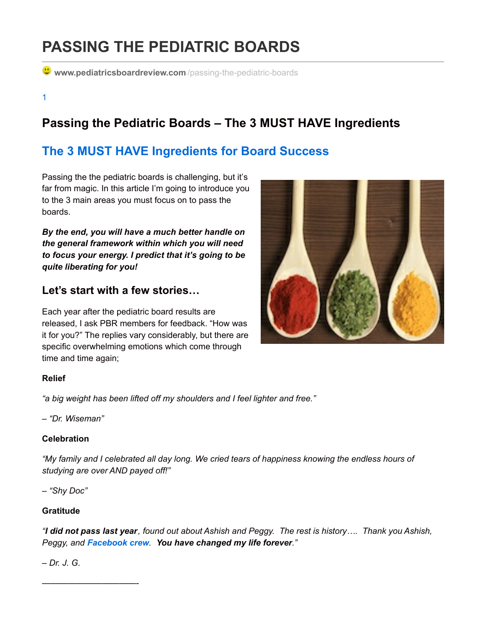# **PASSING THE PEDIATRIC BOARDS**

**Www.pediatricsboardreview.com** /passing-the-pediatric-boards

1

# **Passing the Pediatric Boards – The 3 MUST HAVE Ingredients**

## **The 3 MUST HAVE [Ingredients](http://www.pediatricsboardreview.com/passing-the-pediatric-boards) for Board Success**

Passing the the pediatric boards is challenging, but it's far from magic. In this article I'm going to introduce you to the 3 main areas you must focus on to pass the boards.

*By the end, you will have a much better handle on the general framework within which you will need to focus your energy. I predict that it's going to be quite liberating for you!*

### **Let's start with a few stories…**

Each year after the pediatric board results are released, I ask PBR members for feedback. "How was it for you?" The replies vary considerably, but there are specific overwhelming emotions which come through time and time again;

### **Relief**

*"a big weight has been lifted off my shoulders and I feel lighter and free."*

*– "Dr. Wiseman"*

### **Celebration**

*"My family and I celebrated all day long. We cried tears of happiness knowing the endless hours of studying are over AND payed off!"*

*– "Shy Doc"*

### **Gratitude**

"I did not pass last year, found out about Ashish and Peggy. The rest is history.... Thank you Ashish, *Peggy, and [Facebook](http://www.pediatricsboardreview.com/facebook) crew. You have changed my life forever."*

### *– Dr. J. G.*

———————————-

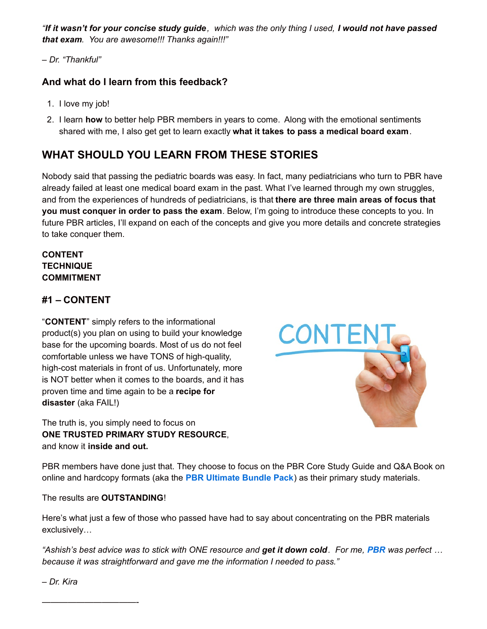"If it wasn't for your concise study guide, which was the only thing I used, I would not have passed *that exam. You are awesome!!! Thanks again!!!"*

### *– Dr. "Thankful"*

### **And what do I learn from this feedback?**

- 1. I love my job!
- 2. I learn **how** to better help PBR members in years to come. Along with the emotional sentiments shared with me, I also get get to learn exactly **what it takes to pass a medical board exam**.

### **WHAT SHOULD YOU LEARN FROM THESE STORIES**

Nobody said that passing the pediatric boards was easy. In fact, many pediatricians who turn to PBR have already failed at least one medical board exam in the past. What I've learned through my own struggles, and from the experiences of hundreds of pediatricians, is that **there are three main areas of focus that you must conquer in order to pass the exam**. Below, I'm going to introduce these concepts to you. In future PBR articles, I'll expand on each of the concepts and give you more details and concrete strategies to take conquer them.

### **CONTENT TECHNIQUE COMMITMENT**

### **#1 – CONTENT**

"**CONTENT**" simply refers to the informational product(s) you plan on using to build your knowledge base for the upcoming boards. Most of us do not feel comfortable unless we have TONS of high-quality, high-cost materials in front of us. Unfortunately, more is NOT better when it comes to the boards, and it has proven time and time again to be a **recipe for disaster** (aka FAIL!)

The truth is, you simply need to focus on **ONE TRUSTED PRIMARY STUDY RESOURCE**, and know it **inside and out.**



PBR members have done just that. They choose to focus on the PBR Core Study Guide and Q&A Book on online and hardcopy formats (aka the **PBR [Ultimate](http://www.pediatricsboardreview.com/catalog) Bundle Pack**) as their primary study materials.

The results are **OUTSTANDING**!

Here's what just a few of those who passed have had to say about concentrating on the PBR materials exclusively…

"Ashish's best advice was to stick with ONE resource and get it down cold. For me, [PBR](http://www.pediatricsboardreview.com/catalog) was perfect ... *because it was straightforward and gave me the information I needed to pass."*

*– Dr. Kira*

———————————-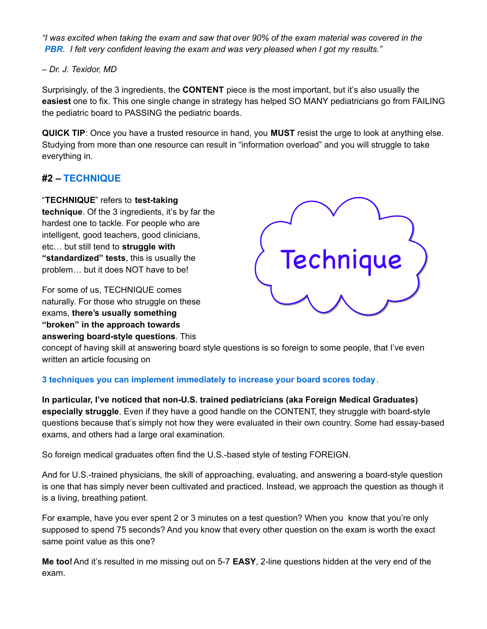"I was excited when taking the exam and saw that over 90% of the exam material was covered in the *[PBR](http://www.pediatricsboardreview.com/catalog). I felt very confident leaving the exam and was very pleased when I got my results."*

### *– Dr. J. Texidor, MD*

Surprisingly, of the 3 ingredients, the **CONTENT** piece is the most important, but it's also usually the **easiest** one to fix. This one single change in strategy has helped SO MANY pediatricians go from FAILING the pediatric board to PASSING the pediatric boards.

**QUICK TIP**: Once you have a trusted resource in hand, you **MUST** resist the urge to look at anything else. Studying from more than one resource can result in "information overload" and you will struggle to take everything in.

### **#2 – [TECHNIQUE](http://www.pediatricsboardreview.com/answering-pediatric-board-questions)**

### "**TECHNIQUE**" refers to **test-taking**

**technique**. Of the 3 ingredients, it's by far the hardest one to tackle. For people who are intelligent, good teachers, good clinicians, etc… but still tend to **struggle with "standardized" tests**, this is usually the problem… but it does NOT have to be!

For some of us, TECHNIQUE comes naturally. For those who struggle on these exams, **there's usually something "broken" in the approach towards answering board-style questions**. This



concept of having skill at answering board style questions is so foreign to some people, that I've even written an article focusing on

### **3 techniques you can implement [immediately](http://www.pediatricsboardreview.com/answering-pediatric-board-questions) to increase your board scores today**.

**In particular, I've noticed that non-U.S. trained pediatricians (aka Foreign Medical Graduates) especially struggle**. Even if they have a good handle on the CONTENT, they struggle with board-style questions because that's simply not how they were evaluated in their own country. Some had essay-based exams, and others had a large oral examination.

So foreign medical graduates often find the U.S.-based style of testing FOREIGN.

And for U.S.-trained physicians, the skill of approaching, evaluating, and answering a board-style question is one that has simply never been cultivated and practiced. Instead, we approach the question as though it is a living, breathing patient.

For example, have you ever spent 2 or 3 minutes on a test question? When you know that you're only supposed to spend 75 seconds? And you know that every other question on the exam is worth the exact same point value as this one?

**Me too!**And it's resulted in me missing out on 5-7 **EASY**, 2-line questions hidden at the very end of the exam.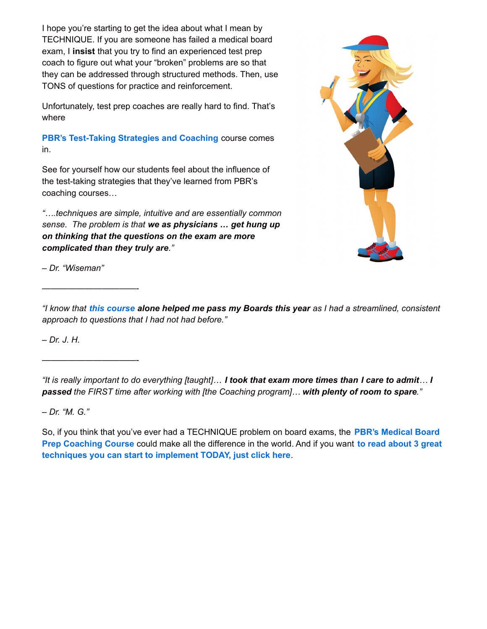I hope you're starting to get the idea about what I mean by TECHNIQUE. If you are someone has failed a medical board exam, I **insist** that you try to find an experienced test prep coach to figure out what your "broken" problems are so that they can be addressed through structured methods. Then, use TONS of questions for practice and reinforcement.

Unfortunately, test prep coaches are really hard to find. That's where

**PBR's [Test-Taking](http://www.pediatricsboardreview.com/coaching) Strategies and Coaching** course comes in.

See for yourself how our students feel about the influence of the test-taking strategies that they've learned from PBR's coaching courses…

*"….techniques are simple, intuitive and are essentially common sense. The problem is that we as physicians … get hung up on thinking that the questions on the exam are more complicated than they truly are."*



*– Dr. "Wiseman"*

———————————-

———————————-

"I know that this [course](http://www.pediatricsboardreview.com/coaching) alone helped me pass my Boards this year as I had a streamlined, consistent *approach to questions that I had not had before."*

*– Dr. J. H.*

*– Dr. "M. G."*

So, if you think that you've ever had a [TECHNIQUE](http://www.pediatricsboardreview.com/coaching) problem on board exams, the **PBR's Medical Board Prep Coaching Course** could make all the difference in the world. And if you want **to read about 3 great [techniques](http://www.pediatricsboardreview.com/answering-pediatric-board-questions) you can start to implement TODAY, just click here**.

<sup>&</sup>quot;It is really important to do everything [taught]... I took that exam more times than I care to admit... I *passed the FIRST time after working with [the Coaching program]… with plenty of room to spare."*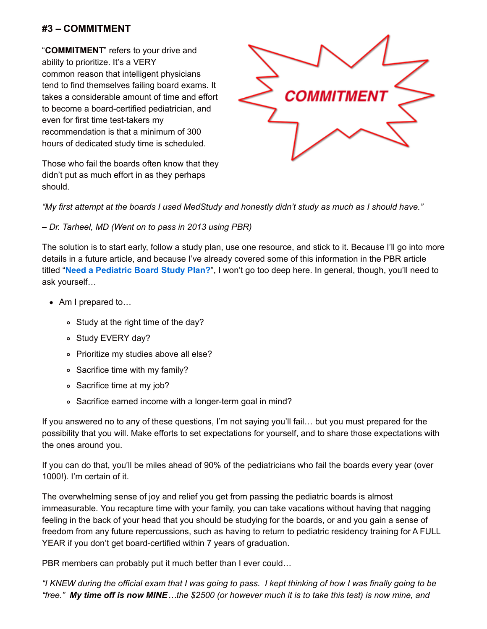### **#3 – COMMITMENT**

"**COMMITMENT**" refers to your drive and ability to prioritize. It's a VERY common reason that intelligent physicians tend to find themselves failing board exams. It takes a considerable amount of time and effort to become a board-certified pediatrician, and even for first time test-takers my recommendation is that a minimum of 300 hours of dedicated study time is scheduled.



Those who fail the boards often know that they didn't put as much effort in as they perhaps should.

"My first attempt at the boards I used MedStudy and honestly didn't study as much as I should have."

### *– Dr. Tarheel, MD (Went on to pass in 2013 using PBR)*

The solution is to start early, follow a study plan, use one resource, and stick to it. Because I'll go into more details in a future article, and because I've already covered some of this information in the PBR article titled "**Need a [Pediatric](http://www.pediatricsboardreview.com/pediatric-board-study-plan) Board Study Plan?**", I won't go too deep here. In general, though, you'll need to ask yourself…

- Am I prepared to…
	- Study at the right time of the day?
	- o Study EVERY day?
	- o Prioritize my studies above all else?
	- Sacrifice time with my family?
	- Sacrifice time at my job?
	- Sacrifice earned income with a longer-term goal in mind?

If you answered no to any of these questions, I'm not saying you'll fail… but you must prepared for the possibility that you will. Make efforts to set expectations for yourself, and to share those expectations with the ones around you.

If you can do that, you'll be miles ahead of 90% of the pediatricians who fail the boards every year (over 1000!). I'm certain of it.

The overwhelming sense of joy and relief you get from passing the pediatric boards is almost immeasurable. You recapture time with your family, you can take vacations without having that nagging feeling in the back of your head that you should be studying for the boards, or and you gain a sense of freedom from any future repercussions, such as having to return to pediatric residency training for A FULL YEAR if you don't get board-certified within 7 years of graduation.

PBR members can probably put it much better than I ever could...

"I KNEW during the official exam that I was going to pass. I kept thinking of how I was finally going to be "free." My time off is now MINE...the \$2500 (or however much it is to take this test) is now mine, and